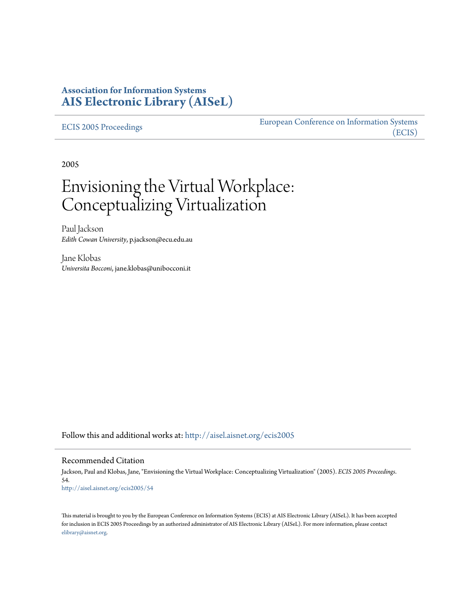# **Association for Information Systems [AIS Electronic Library \(AISeL\)](http://aisel.aisnet.org?utm_source=aisel.aisnet.org%2Fecis2005%2F54&utm_medium=PDF&utm_campaign=PDFCoverPages)**

[ECIS 2005 Proceedings](http://aisel.aisnet.org/ecis2005?utm_source=aisel.aisnet.org%2Fecis2005%2F54&utm_medium=PDF&utm_campaign=PDFCoverPages)

[European Conference on Information Systems](http://aisel.aisnet.org/ecis?utm_source=aisel.aisnet.org%2Fecis2005%2F54&utm_medium=PDF&utm_campaign=PDFCoverPages) [\(ECIS\)](http://aisel.aisnet.org/ecis?utm_source=aisel.aisnet.org%2Fecis2005%2F54&utm_medium=PDF&utm_campaign=PDFCoverPages)

2005

# Envisioning the Virtual Workplace: Conceptualizing Virtualization

Paul Jackson *Edith Cowan University*, p.jackson@ecu.edu.au

Jane Klobas *Universita Bocconi*, jane.klobas@unibocconi.it

Follow this and additional works at: [http://aisel.aisnet.org/ecis2005](http://aisel.aisnet.org/ecis2005?utm_source=aisel.aisnet.org%2Fecis2005%2F54&utm_medium=PDF&utm_campaign=PDFCoverPages)

#### Recommended Citation

Jackson, Paul and Klobas, Jane, "Envisioning the Virtual Workplace: Conceptualizing Virtualization" (2005). *ECIS 2005 Proceedings*. 54. [http://aisel.aisnet.org/ecis2005/54](http://aisel.aisnet.org/ecis2005/54?utm_source=aisel.aisnet.org%2Fecis2005%2F54&utm_medium=PDF&utm_campaign=PDFCoverPages)

This material is brought to you by the European Conference on Information Systems (ECIS) at AIS Electronic Library (AISeL). It has been accepted for inclusion in ECIS 2005 Proceedings by an authorized administrator of AIS Electronic Library (AISeL). For more information, please contact [elibrary@aisnet.org.](mailto:elibrary@aisnet.org%3E)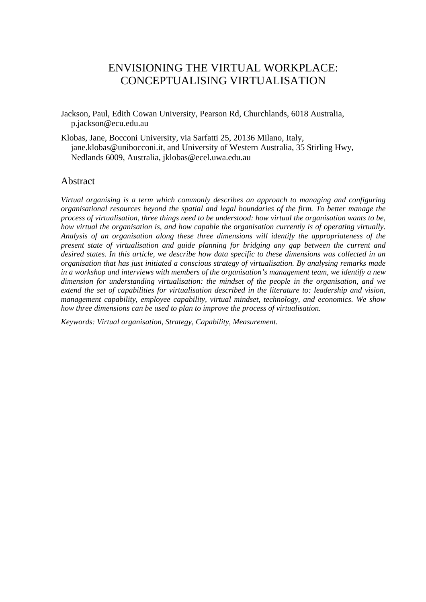# ENVISIONING THE VIRTUAL WORKPLACE: CONCEPTUALISING VIRTUALISATION

- Jackson, Paul, Edith Cowan University, Pearson Rd, Churchlands, 6018 Australia, p.jackson@ecu.edu.au
- Klobas, Jane, Bocconi University, via Sarfatti 25, 20136 Milano, Italy, jane.klobas@unibocconi.it, and University of Western Australia, 35 Stirling Hwy, Nedlands 6009, Australia, jklobas@ecel.uwa.edu.au

### Abstract

*Virtual organising is a term which commonly describes an approach to managing and configuring organisational resources beyond the spatial and legal boundaries of the firm. To better manage the process of virtualisation, three things need to be understood: how virtual the organisation wants to be, how virtual the organisation is, and how capable the organisation currently is of operating virtually. Analysis of an organisation along these three dimensions will identify the appropriateness of the present state of virtualisation and guide planning for bridging any gap between the current and desired states. In this article, we describe how data specific to these dimensions was collected in an organisation that has just initiated a conscious strategy of virtualisation. By analysing remarks made in a workshop and interviews with members of the organisation's management team, we identify a new dimension for understanding virtualisation: the mindset of the people in the organisation, and we extend the set of capabilities for virtualisation described in the literature to: leadership and vision, management capability, employee capability, virtual mindset, technology, and economics. We show how three dimensions can be used to plan to improve the process of virtualisation.* 

*Keywords: Virtual organisation, Strategy, Capability, Measurement.*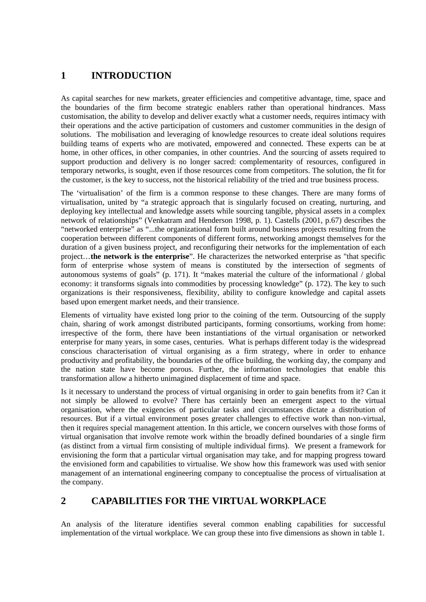# **1 INTRODUCTION**

As capital searches for new markets, greater efficiencies and competitive advantage, time, space and the boundaries of the firm become strategic enablers rather than operational hindrances. Mass customisation, the ability to develop and deliver exactly what a customer needs, requires intimacy with their operations and the active participation of customers and customer communities in the design of solutions. The mobilisation and leveraging of knowledge resources to create ideal solutions requires building teams of experts who are motivated, empowered and connected. These experts can be at home, in other offices, in other companies, in other countries. And the sourcing of assets required to support production and delivery is no longer sacred: complementarity of resources, configured in temporary networks, is sought, even if those resources come from competitors. The solution, the fit for the customer, is the key to success, not the historical reliability of the tried and true business process.

The 'virtualisation' of the firm is a common response to these changes. There are many forms of virtualisation, united by "a strategic approach that is singularly focused on creating, nurturing, and deploying key intellectual and knowledge assets while sourcing tangible, physical assets in a complex network of relationships" (Venkatram and Henderson 1998, p. 1). Castells (2001, p.67) describes the "networked enterprise" as "...the organizational form built around business projects resulting from the cooperation between different components of different forms, networking amongst themselves for the duration of a given business project, and reconfiguring their networks for the implementation of each project…**the network is the enterprise**". He characterizes the networked enterprise as "that specific form of enterprise whose system of means is constituted by the intersection of segments of autonomous systems of goals" (p. 171). It "makes material the culture of the informational / global economy: it transforms signals into commodities by processing knowledge" (p. 172). The key to such organizations is their responsiveness, flexibility, ability to configure knowledge and capital assets based upon emergent market needs, and their transience.

Elements of virtuality have existed long prior to the coining of the term. Outsourcing of the supply chain, sharing of work amongst distributed participants, forming consortiums, working from home: irrespective of the form, there have been instantiations of the virtual organisation or networked enterprise for many years, in some cases, centuries. What is perhaps different today is the widespread conscious characterisation of virtual organising as a firm strategy, where in order to enhance productivity and profitability, the boundaries of the office building, the working day, the company and the nation state have become porous. Further, the information technologies that enable this transformation allow a hitherto unimagined displacement of time and space.

Is it necessary to understand the process of virtual organising in order to gain benefits from it? Can it not simply be allowed to evolve? There has certainly been an emergent aspect to the virtual organisation, where the exigencies of particular tasks and circumstances dictate a distribution of resources. But if a virtual environment poses greater challenges to effective work than non-virtual, then it requires special management attention. In this article, we concern ourselves with those forms of virtual organisation that involve remote work within the broadly defined boundaries of a single firm (as distinct from a virtual firm consisting of multiple individual firms). We present a framework for envisioning the form that a particular virtual organisation may take, and for mapping progress toward the envisioned form and capabilities to virtualise. We show how this framework was used with senior management of an international engineering company to conceptualise the process of virtualisation at the company.

# **2 CAPABILITIES FOR THE VIRTUAL WORKPLACE**

An analysis of the literature identifies several common enabling capabilities for successful implementation of the virtual workplace. We can group these into five dimensions as shown in table 1.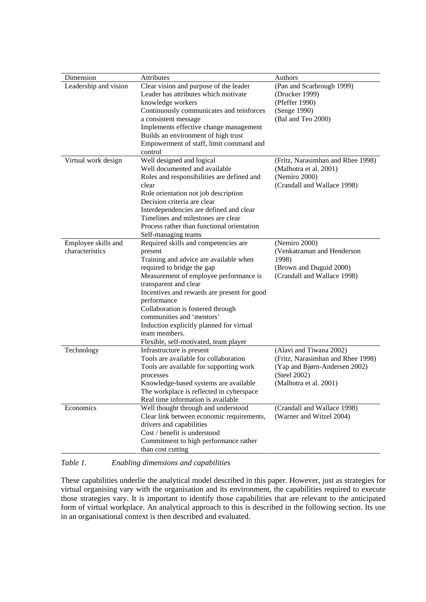| Dimension             | Attributes                                  | Authors                           |
|-----------------------|---------------------------------------------|-----------------------------------|
| Leadership and vision | Clear vision and purpose of the leader      | (Pan and Scarbrough 1999)         |
|                       | Leader has attributes which motivate        | (Drucker 1999)                    |
|                       | knowledge workers                           | (Pfeffer 1990)                    |
|                       | Continuously communicates and reinforces    | (Senge 1990)                      |
|                       | a consistent message                        | (Bal and Teo 2000)                |
|                       | Implements effective change management      |                                   |
|                       | Builds an environment of high trust         |                                   |
|                       | Empowerment of staff, limit command and     |                                   |
|                       | control                                     |                                   |
| Virtual work design   | Well designed and logical                   | (Fritz, Narasimhan and Rhee 1998) |
|                       | Well documented and available               | (Malhotra et al. 2001)            |
|                       | Roles and responsibilities are defined and  | (Nemiro 2000)                     |
|                       | clear                                       |                                   |
|                       |                                             | (Crandall and Wallace 1998)       |
|                       | Role orientation not job description        |                                   |
|                       | Decision criteria are clear                 |                                   |
|                       | Interdependencies are defined and clear     |                                   |
|                       | Timelines and milestones are clear          |                                   |
|                       | Process rather than functional orientation  |                                   |
|                       | Self-managing teams                         |                                   |
| Employee skills and   | Required skills and competencies are        | (Nemiro 2000)                     |
| characteristics       | present                                     | (Venkatraman and Henderson        |
|                       | Training and advice are available when      | 1998)                             |
|                       | required to bridge the gap                  | (Brown and Duguid 2000)           |
|                       | Measurement of employee performance is      | (Crandall and Wallace 1998)       |
|                       | transparent and clear                       |                                   |
|                       | Incentives and rewards are present for good |                                   |
|                       | performance                                 |                                   |
|                       | Collaboration is fostered through           |                                   |
|                       | communities and 'mentors'                   |                                   |
|                       |                                             |                                   |
|                       | Induction explicitly planned for virtual    |                                   |
|                       | team members.                               |                                   |
|                       | Flexible, self-motivated, team player       |                                   |
| Technology            | Infrastructure is present                   | (Alavi and Tiwana 2002)           |
|                       | Tools are available for collaboration       | (Fritz, Narasimhan and Rhee 1998) |
|                       | Tools are available for supporting work     | (Yap and Bjørn-Andersen 2002)     |
|                       | processes                                   | (Steel 2002)                      |
|                       | Knowledge-based systems are available       | (Malhotra et al. 2001)            |
|                       | The workplace is reflected in cyberspace    |                                   |
|                       | Real time information is available          |                                   |
| Economics             | Well thought through and understood         | (Crandall and Wallace 1998)       |
|                       | Clear link between economic requirements,   | (Warner and Witzel 2004)          |
|                       | drivers and capabilities                    |                                   |
|                       | Cost / benefit is understood                |                                   |
|                       | Commitment to high performance rather       |                                   |
|                       | than cost cutting                           |                                   |
|                       |                                             |                                   |

#### *Table 1. Enabling dimensions and capabilities*

These capabilities underlie the analytical model described in this paper. However, just as strategies for virtual organising vary with the organisation and its environment, the capabilities required to execute those strategies vary. It is important to identify those capabilities that are relevant to the anticipated form of virtual workplace. An analytical approach to this is described in the following section. Its use in an organisational context is then described and evaluated.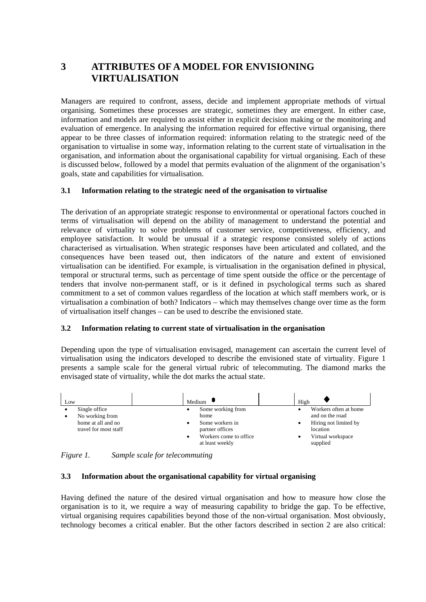# **3 ATTRIBUTES OF A MODEL FOR ENVISIONING VIRTUALISATION**

Managers are required to confront, assess, decide and implement appropriate methods of virtual organising. Sometimes these processes are strategic, sometimes they are emergent. In either case, information and models are required to assist either in explicit decision making or the monitoring and evaluation of emergence. In analysing the information required for effective virtual organising, there appear to be three classes of information required: information relating to the strategic need of the organisation to virtualise in some way, information relating to the current state of virtualisation in the organisation, and information about the organisational capability for virtual organising. Each of these is discussed below, followed by a model that permits evaluation of the alignment of the organisation's goals, state and capabilities for virtualisation.

### **3.1 Information relating to the strategic need of the organisation to virtualise**

The derivation of an appropriate strategic response to environmental or operational factors couched in terms of virtualisation will depend on the ability of management to understand the potential and relevance of virtuality to solve problems of customer service, competitiveness, efficiency, and employee satisfaction. It would be unusual if a strategic response consisted solely of actions characterised as virtualisation. When strategic responses have been articulated and collated, and the consequences have been teased out, then indicators of the nature and extent of envisioned virtualisation can be identified. For example, is virtualisation in the organisation defined in physical, temporal or structural terms, such as percentage of time spent outside the office or the percentage of tenders that involve non-permanent staff, or is it defined in psychological terms such as shared commitment to a set of common values regardless of the location at which staff members work, or is virtualisation a combination of both? Indicators – which may themselves change over time as the form of virtualisation itself changes – can be used to describe the envisioned state.

#### **3.2 Information relating to current state of virtualisation in the organisation**

Depending upon the type of virtualisation envisaged, management can ascertain the current level of virtualisation using the indicators developed to describe the envisioned state of virtuality. Figure 1 presents a sample scale for the general virtual rubric of telecommuting. The diamond marks the envisaged state of virtuality, while the dot marks the actual state.



*Figure 1. Sample scale for telecommuting* 

#### **3.3 Information about the organisational capability for virtual organising**

Having defined the nature of the desired virtual organisation and how to measure how close the organisation is to it, we require a way of measuring capability to bridge the gap. To be effective, virtual organising requires capabilities beyond those of the non-virtual organisation. Most obviously, technology becomes a critical enabler. But the other factors described in section 2 are also critical: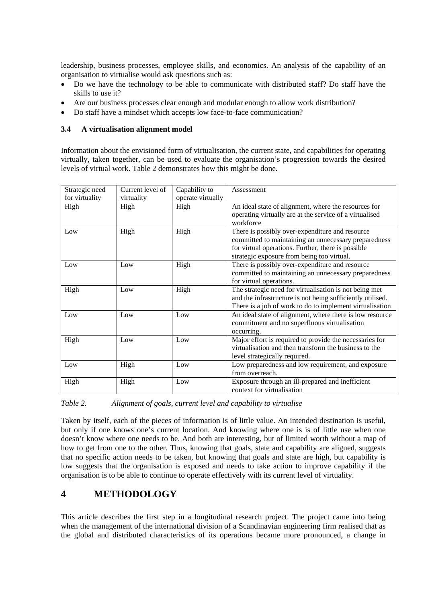leadership, business processes, employee skills, and economics. An analysis of the capability of an organisation to virtualise would ask questions such as:

- Do we have the technology to be able to communicate with distributed staff? Do staff have the skills to use it?
- Are our business processes clear enough and modular enough to allow work distribution?
- Do staff have a mindset which accepts low face-to-face communication?

#### **3.4 A virtualisation alignment model**

Information about the envisioned form of virtualisation, the current state, and capabilities for operating virtually, taken together, can be used to evaluate the organisation's progression towards the desired levels of virtual work. Table 2 demonstrates how this might be done.

| Strategic need | Current level of | Capability to     | Assessment                                                                                                                                                                                                  |
|----------------|------------------|-------------------|-------------------------------------------------------------------------------------------------------------------------------------------------------------------------------------------------------------|
| for virtuality | virtuality       | operate virtually |                                                                                                                                                                                                             |
| High           | High             | High              | An ideal state of alignment, where the resources for                                                                                                                                                        |
|                |                  |                   | operating virtually are at the service of a virtualised<br>workforce                                                                                                                                        |
| Low            | High             | High              | There is possibly over-expenditure and resource<br>committed to maintaining an unnecessary preparedness<br>for virtual operations. Further, there is possible<br>strategic exposure from being too virtual. |
| Low            | Low              | High              | There is possibly over-expenditure and resource<br>committed to maintaining an unnecessary preparedness<br>for virtual operations.                                                                          |
| High           | Low              | High              | The strategic need for virtualisation is not being met<br>and the infrastructure is not being sufficiently utilised.<br>There is a job of work to do to implement virtualisation                            |
| Low            | Low              | Low               | An ideal state of alignment, where there is low resource<br>commitment and no superfluous virtualisation<br>occurring.                                                                                      |
| High           | Low              | Low               | Major effort is required to provide the necessaries for<br>virtualisation and then transform the business to the<br>level strategically required.                                                           |
| Low            | High             | Low               | Low preparedness and low requirement, and exposure<br>from overreach.                                                                                                                                       |
| High           | High             | Low               | Exposure through an ill-prepared and inefficient<br>context for virtualisation                                                                                                                              |

*Table 2. Alignment of goals, current level and capability to virtualise* 

Taken by itself, each of the pieces of information is of little value. An intended destination is useful, but only if one knows one's current location. And knowing where one is is of little use when one doesn't know where one needs to be. And both are interesting, but of limited worth without a map of how to get from one to the other. Thus, knowing that goals, state and capability are aligned, suggests that no specific action needs to be taken, but knowing that goals and state are high, but capability is low suggests that the organisation is exposed and needs to take action to improve capability if the organisation is to be able to continue to operate effectively with its current level of virtuality.

# **4 METHODOLOGY**

This article describes the first step in a longitudinal research project. The project came into being when the management of the international division of a Scandinavian engineering firm realised that as the global and distributed characteristics of its operations became more pronounced, a change in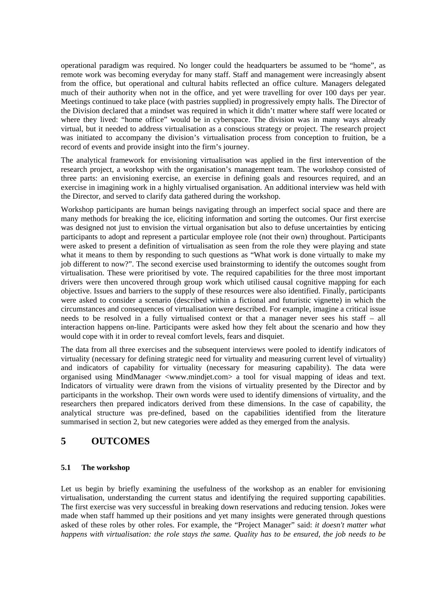operational paradigm was required. No longer could the headquarters be assumed to be "home", as remote work was becoming everyday for many staff. Staff and management were increasingly absent from the office, but operational and cultural habits reflected an office culture. Managers delegated much of their authority when not in the office, and yet were travelling for over 100 days per year. Meetings continued to take place (with pastries supplied) in progressively empty halls. The Director of the Division declared that a mindset was required in which it didn't matter where staff were located or where they lived: "home office" would be in cyberspace. The division was in many ways already virtual, but it needed to address virtualisation as a conscious strategy or project. The research project was initiated to accompany the division's virtualisation process from conception to fruition, be a record of events and provide insight into the firm's journey.

The analytical framework for envisioning virtualisation was applied in the first intervention of the research project, a workshop with the organisation's management team. The workshop consisted of three parts: an envisioning exercise, an exercise in defining goals and resources required, and an exercise in imagining work in a highly virtualised organisation. An additional interview was held with the Director, and served to clarify data gathered during the workshop.

Workshop participants are human beings navigating through an imperfect social space and there are many methods for breaking the ice, eliciting information and sorting the outcomes. Our first exercise was designed not just to envision the virtual organisation but also to defuse uncertainties by enticing participants to adopt and represent a particular employee role (not their own) throughout. Participants were asked to present a definition of virtualisation as seen from the role they were playing and state what it means to them by responding to such questions as "What work is done virtually to make my job different to now?". The second exercise used brainstorming to identify the outcomes sought from virtualisation. These were prioritised by vote. The required capabilities for the three most important drivers were then uncovered through group work which utilised causal cognitive mapping for each objective. Issues and barriers to the supply of these resources were also identified. Finally, participants were asked to consider a scenario (described within a fictional and futuristic vignette) in which the circumstances and consequences of virtualisation were described. For example, imagine a critical issue needs to be resolved in a fully virtualised context or that a manager never sees his staff – all interaction happens on-line. Participants were asked how they felt about the scenario and how they would cope with it in order to reveal comfort levels, fears and disquiet.

The data from all three exercises and the subsequent interviews were pooled to identify indicators of virtuality (necessary for defining strategic need for virtuality and measuring current level of virtuality) and indicators of capability for virtuality (necessary for measuring capability). The data were organised using MindManager <www.mindjet.com> a tool for visual mapping of ideas and text. Indicators of virtuality were drawn from the visions of virtuality presented by the Director and by participants in the workshop. Their own words were used to identify dimensions of virtuality, and the researchers then prepared indicators derived from these dimensions. In the case of capability, the analytical structure was pre-defined, based on the capabilities identified from the literature summarised in section 2, but new categories were added as they emerged from the analysis.

# **5 OUTCOMES**

### **5.1 The workshop**

Let us begin by briefly examining the usefulness of the workshop as an enabler for envisioning virtualisation, understanding the current status and identifying the required supporting capabilities. The first exercise was very successful in breaking down reservations and reducing tension. Jokes were made when staff hammed up their positions and yet many insights were generated through questions asked of these roles by other roles. For example, the "Project Manager" said: *it doesn't matter what happens with virtualisation: the role stays the same. Quality has to be ensured, the job needs to be*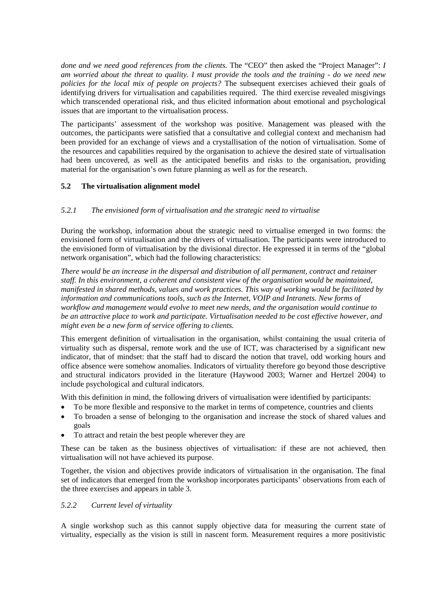*done and we need good references from the clients.* The "CEO" then asked the "Project Manager": *I am worried about the threat to quality. I must provide the tools and the training - do we need new policies for the local mix of people on projects?* The subsequent exercises achieved their goals of identifying drivers for virtualisation and capabilities required. The third exercise revealed misgivings which transcended operational risk, and thus elicited information about emotional and psychological issues that are important to the virtualisation process.

The participants' assessment of the workshop was positive. Management was pleased with the outcomes, the participants were satisfied that a consultative and collegial context and mechanism had been provided for an exchange of views and a crystallisation of the notion of virtualisation. Some of the resources and capabilities required by the organisation to achieve the desired state of virtualisation had been uncovered, as well as the anticipated benefits and risks to the organisation, providing material for the organisation's own future planning as well as for the research.

### **5.2 The virtualisation alignment model**

### *5.2.1 The envisioned form of virtualisation and the strategic need to virtualise*

During the workshop, information about the strategic need to virtualise emerged in two forms: the envisioned form of virtualisation and the drivers of virtualisation. The participants were introduced to the envisioned form of virtualisation by the divisional director. He expressed it in terms of the "global network organisation", which had the following characteristics:

*There would be an increase in the dispersal and distribution of all permanent, contract and retainer staff. In this environment, a coherent and consistent view of the organisation would be maintained, manifested in shared methods, values and work practices. This way of working would be facilitated by information and communications tools, such as the Internet, VOIP and Intranets. New forms of workflow and management would evolve to meet new needs, and the organisation would continue to be an attractive place to work and participate. Virtualisation needed to be cost effective however, and might even be a new form of service offering to clients.* 

This emergent definition of virtualisation in the organisation, whilst containing the usual criteria of virtuality such as dispersal, remote work and the use of ICT, was characterised by a significant new indicator, that of mindset: that the staff had to discard the notion that travel, odd working hours and office absence were somehow anomalies. Indicators of virtuality therefore go beyond those descriptive and structural indicators provided in the literature (Haywood 2003; Warner and Hertzel 2004) to include psychological and cultural indicators.

With this definition in mind, the following drivers of virtualisation were identified by participants:

- To be more flexible and responsive to the market in terms of competence, countries and clients
- To broaden a sense of belonging to the organisation and increase the stock of shared values and goals
- To attract and retain the best people wherever they are

These can be taken as the business objectives of virtualisation: if these are not achieved, then virtualisation will not have achieved its purpose.

Together, the vision and objectives provide indicators of virtualisation in the organisation. The final set of indicators that emerged from the workshop incorporates participants' observations from each of the three exercises and appears in table 3.

### *5.2.2 Current level of virtuality*

A single workshop such as this cannot supply objective data for measuring the current state of virtuality, especially as the vision is still in nascent form. Measurement requires a more positivistic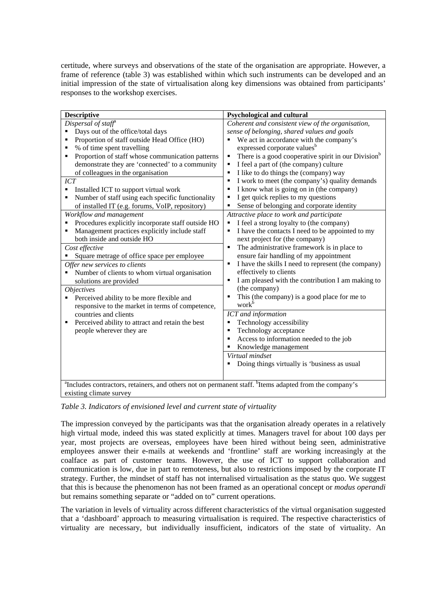certitude, where surveys and observations of the state of the organisation are appropriate. However, a frame of reference (table 3) was established within which such instruments can be developed and an initial impression of the state of virtualisation along key dimensions was obtained from participants' responses to the workshop exercises.

| <b>Descriptive</b>                                                                                                             | <b>Psychological and cultural</b>                                    |  |  |  |
|--------------------------------------------------------------------------------------------------------------------------------|----------------------------------------------------------------------|--|--|--|
| Dispersal of staff <sup>®</sup>                                                                                                | Coherent and consistent view of the organisation,                    |  |  |  |
| Days out of the office/total days                                                                                              | sense of belonging, shared values and goals                          |  |  |  |
| Proportion of staff outside Head Office (HO)<br>٠                                                                              | We act in accordance with the company's                              |  |  |  |
| % of time spent travelling<br>п                                                                                                | expressed corporate values <sup>b</sup>                              |  |  |  |
| Proportion of staff whose communication patterns<br>٠                                                                          | There is a good cooperative spirit in our Division <sup>b</sup><br>٠ |  |  |  |
| demonstrate they are 'connected' to a community                                                                                | I feel a part of (the company) culture<br>П                          |  |  |  |
| of colleagues in the organisation                                                                                              | I like to do things the (company) way<br>٠                           |  |  |  |
| <b>ICT</b>                                                                                                                     | I work to meet (the company's) quality demands<br>٠                  |  |  |  |
| Installed ICT to support virtual work<br>٠                                                                                     | I know what is going on in (the company)<br>٠                        |  |  |  |
| Number of staff using each specific functionality<br>Е                                                                         | I get quick replies to my questions<br>٠                             |  |  |  |
| of installed IT (e.g. forums, VoIP, repository)                                                                                | Sense of belonging and corporate identity<br>٠                       |  |  |  |
| Workflow and management                                                                                                        | Attractive place to work and participate                             |  |  |  |
| Procedures explicitly incorporate staff outside HO<br>٠                                                                        | I feel a strong loyalty to (the company)                             |  |  |  |
| Management practices explicitly include staff<br>٠                                                                             | I have the contacts I need to be appointed to my                     |  |  |  |
| both inside and outside HO                                                                                                     | next project for (the company)                                       |  |  |  |
| Cost effective                                                                                                                 | The administrative framework is in place to<br>П                     |  |  |  |
| Square metrage of office space per employee                                                                                    | ensure fair handling of my appointment                               |  |  |  |
| Offer new services to clients                                                                                                  | I have the skills I need to represent (the company)<br>٠             |  |  |  |
| Number of clients to whom virtual organisation<br>$\blacksquare$                                                               | effectively to clients                                               |  |  |  |
| solutions are provided                                                                                                         | I am pleased with the contribution I am making to<br>П               |  |  |  |
| <i><b>Objectives</b></i>                                                                                                       | (the company)                                                        |  |  |  |
| Perceived ability to be more flexible and                                                                                      | This (the company) is a good place for me to<br>٠                    |  |  |  |
| responsive to the market in terms of competence,                                                                               | work <sup>b</sup>                                                    |  |  |  |
| countries and clients                                                                                                          | ICT and information                                                  |  |  |  |
| Perceived ability to attract and retain the best<br>٠                                                                          | Technology accessibility<br>٠                                        |  |  |  |
| people wherever they are                                                                                                       | Technology acceptance<br>٠                                           |  |  |  |
|                                                                                                                                | Access to information needed to the job<br>٠                         |  |  |  |
|                                                                                                                                | Knowledge management<br>٠                                            |  |  |  |
|                                                                                                                                | Virtual mindset                                                      |  |  |  |
|                                                                                                                                | Doing things virtually is 'business as usual                         |  |  |  |
|                                                                                                                                |                                                                      |  |  |  |
| <sup>a</sup> Includes contractors, retainers, and others not on permanent staff. <sup>b</sup> Items adapted from the company's |                                                                      |  |  |  |
| existing climate survey                                                                                                        |                                                                      |  |  |  |

*Table 3. Indicators of envisioned level and current state of virtuality* 

The impression conveyed by the participants was that the organisation already operates in a relatively high virtual mode, indeed this was stated explicitly at times. Managers travel for about 100 days per year, most projects are overseas, employees have been hired without being seen, administrative employees answer their e-mails at weekends and 'frontline' staff are working increasingly at the coalface as part of customer teams. However, the use of ICT to support collaboration and communication is low, due in part to remoteness, but also to restrictions imposed by the corporate IT strategy. Further, the mindset of staff has not internalised virtualisation as the status quo. We suggest that this is because the phenomenon has not been framed as an operational concept or *modus operandi* but remains something separate or "added on to" current operations.

The variation in levels of virtuality across different characteristics of the virtual organisation suggested that a 'dashboard' approach to measuring virtualisation is required. The respective characteristics of virtuality are necessary, but individually insufficient, indicators of the state of virtuality. An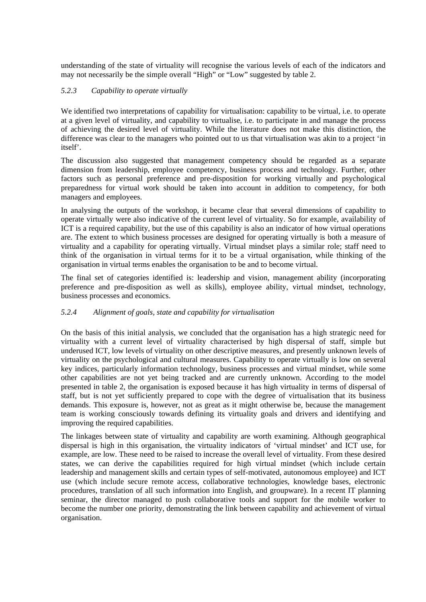understanding of the state of virtuality will recognise the various levels of each of the indicators and may not necessarily be the simple overall "High" or "Low" suggested by table 2.

#### *5.2.3 Capability to operate virtually*

We identified two interpretations of capability for virtualisation: capability to be virtual, i.e. to operate at a given level of virtuality, and capability to virtualise, i.e. to participate in and manage the process of achieving the desired level of virtuality. While the literature does not make this distinction, the difference was clear to the managers who pointed out to us that virtualisation was akin to a project 'in itself'.

The discussion also suggested that management competency should be regarded as a separate dimension from leadership, employee competency, business process and technology. Further, other factors such as personal preference and pre-disposition for working virtually and psychological preparedness for virtual work should be taken into account in addition to competency, for both managers and employees.

In analysing the outputs of the workshop, it became clear that several dimensions of capability to operate virtually were also indicative of the current level of virtuality. So for example, availability of ICT is a required capability, but the use of this capability is also an indicator of how virtual operations are. The extent to which business processes are designed for operating virtually is both a measure of virtuality and a capability for operating virtually. Virtual mindset plays a similar role; staff need to think of the organisation in virtual terms for it to be a virtual organisation, while thinking of the organisation in virtual terms enables the organisation to be and to become virtual.

The final set of categories identified is: leadership and vision, management ability (incorporating preference and pre-disposition as well as skills), employee ability, virtual mindset, technology, business processes and economics.

#### *5.2.4 Alignment of goals, state and capability for virtualisation*

On the basis of this initial analysis, we concluded that the organisation has a high strategic need for virtuality with a current level of virtuality characterised by high dispersal of staff, simple but underused ICT, low levels of virtuality on other descriptive measures, and presently unknown levels of virtuality on the psychological and cultural measures. Capability to operate virtually is low on several key indices, particularly information technology, business processes and virtual mindset, while some other capabilities are not yet being tracked and are currently unknown. According to the model presented in table 2, the organisation is exposed because it has high virtuality in terms of dispersal of staff, but is not yet sufficiently prepared to cope with the degree of virtualisation that its business demands. This exposure is, however, not as great as it might otherwise be, because the management team is working consciously towards defining its virtuality goals and drivers and identifying and improving the required capabilities.

The linkages between state of virtuality and capability are worth examining. Although geographical dispersal is high in this organisation, the virtuality indicators of 'virtual mindset' and ICT use, for example, are low. These need to be raised to increase the overall level of virtuality. From these desired states, we can derive the capabilities required for high virtual mindset (which include certain leadership and management skills and certain types of self-motivated, autonomous employee) and ICT use (which include secure remote access, collaborative technologies, knowledge bases, electronic procedures, translation of all such information into English, and groupware). In a recent IT planning seminar, the director managed to push collaborative tools and support for the mobile worker to become the number one priority, demonstrating the link between capability and achievement of virtual organisation.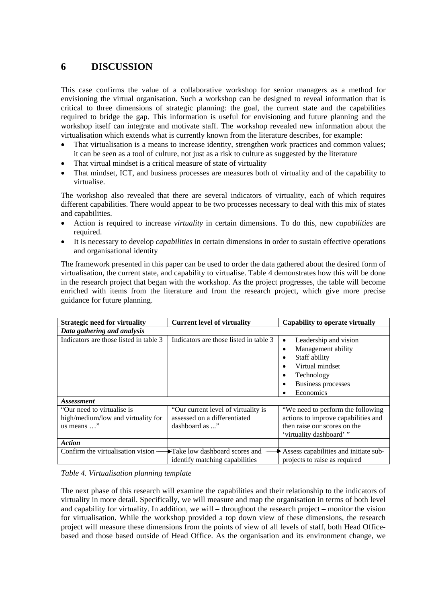# **6 DISCUSSION**

This case confirms the value of a collaborative workshop for senior managers as a method for envisioning the virtual organisation. Such a workshop can be designed to reveal information that is critical to three dimensions of strategic planning: the goal, the current state and the capabilities required to bridge the gap. This information is useful for envisioning and future planning and the workshop itself can integrate and motivate staff. The workshop revealed new information about the virtualisation which extends what is currently known from the literature describes, for example:

- That virtualisation is a means to increase identity, strengthen work practices and common values; it can be seen as a tool of culture, not just as a risk to culture as suggested by the literature
- That virtual mindset is a critical measure of state of virtuality
- That mindset, ICT, and business processes are measures both of virtuality and of the capability to virtualise.

The workshop also revealed that there are several indicators of virtuality, each of which requires different capabilities. There would appear to be two processes necessary to deal with this mix of states and capabilities.

- Action is required to increase *virtuality* in certain dimensions. To do this, new *capabilities* are required.
- It is necessary to develop *capabilities* in certain dimensions in order to sustain effective operations and organisational identity

The framework presented in this paper can be used to order the data gathered about the desired form of virtualisation, the current state, and capability to virtualise. Table 4 demonstrates how this will be done in the research project that began with the workshop. As the project progresses, the table will become enriched with items from the literature and from the research project, which give more precise guidance for future planning.

| <b>Strategic need for virtuality</b>                                                     | <b>Current level of virtuality</b>                                                    | Capability to operate virtually                                                                                                                           |
|------------------------------------------------------------------------------------------|---------------------------------------------------------------------------------------|-----------------------------------------------------------------------------------------------------------------------------------------------------------|
| Data gathering and analysis                                                              |                                                                                       |                                                                                                                                                           |
| Indicators are those listed in table 3                                                   | Indicators are those listed in table 3                                                | Leadership and vision<br>$\bullet$<br>Management ability<br>٠<br>Staff ability<br>Virtual mindset<br>Technology<br><b>Business processes</b><br>Economics |
| <i><b>Assessment</b></i>                                                                 |                                                                                       |                                                                                                                                                           |
| "Our need to virtualise is"<br>high/medium/low and virtuality for<br>us means $\ldots$ " | "Our current level of virtuality is<br>assessed on a differentiated<br>dashboard as " | "We need to perform the following"<br>actions to improve capabilities and<br>then raise our scores on the<br>'virtuality dashboard'"                      |
| <b>Action</b>                                                                            |                                                                                       |                                                                                                                                                           |
| Confirm the virtualisation vision -                                                      | Take low dashboard scores and<br>identify matching capabilities                       | Assess capabilities and initiate sub-<br>projects to raise as required                                                                                    |

*Table 4. Virtualisation planning template* 

The next phase of this research will examine the capabilities and their relationship to the indicators of virtuality in more detail. Specifically, we will measure and map the organisation in terms of both level and capability for virtuality. In addition, we will – throughout the research project – monitor the vision for virtualisation. While the workshop provided a top down view of these dimensions, the research project will measure these dimensions from the points of view of all levels of staff, both Head Officebased and those based outside of Head Office. As the organisation and its environment change, we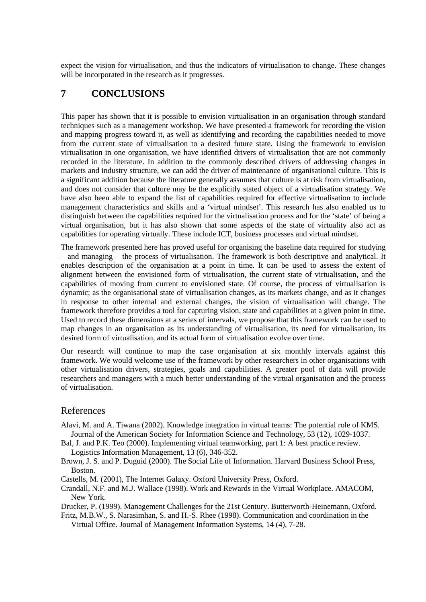expect the vision for virtualisation, and thus the indicators of virtualisation to change. These changes will be incorporated in the research as it progresses.

# **7 CONCLUSIONS**

This paper has shown that it is possible to envision virtualisation in an organisation through standard techniques such as a management workshop. We have presented a framework for recording the vision and mapping progress toward it, as well as identifying and recording the capabilities needed to move from the current state of virtualisation to a desired future state. Using the framework to envision virtualisation in one organisation, we have identified drivers of virtualisation that are not commonly recorded in the literature. In addition to the commonly described drivers of addressing changes in markets and industry structure, we can add the driver of maintenance of organisational culture. This is a significant addition because the literature generally assumes that culture is at risk from virtualisation, and does not consider that culture may be the explicitly stated object of a virtualisation strategy. We have also been able to expand the list of capabilities required for effective virtualisation to include management characteristics and skills and a 'virtual mindset'. This research has also enabled us to distinguish between the capabilities required for the virtualisation process and for the 'state' of being a virtual organisation, but it has also shown that some aspects of the state of virtuality also act as capabilities for operating virtually. These include ICT, business processes and virtual mindset.

The framework presented here has proved useful for organising the baseline data required for studying – and managing – the process of virtualisation. The framework is both descriptive and analytical. It enables description of the organisation at a point in time. It can be used to assess the extent of alignment between the envisioned form of virtualisation, the current state of virtualisation, and the capabilities of moving from current to envisioned state. Of course, the process of virtualisation is dynamic; as the organisational state of virtualisation changes, as its markets change, and as it changes in response to other internal and external changes, the vision of virtualisation will change. The framework therefore provides a tool for capturing vision, state and capabilities at a given point in time. Used to record these dimensions at a series of intervals, we propose that this framework can be used to map changes in an organisation as its understanding of virtualisation, its need for virtualisation, its desired form of virtualisation, and its actual form of virtualisation evolve over time.

Our research will continue to map the case organisation at six monthly intervals against this framework. We would welcome use of the framework by other researchers in other organisations with other virtualisation drivers, strategies, goals and capabilities. A greater pool of data will provide researchers and managers with a much better understanding of the virtual organisation and the process of virtualisation.

### References

- Alavi, M. and A. Tiwana (2002). Knowledge integration in virtual teams: The potential role of KMS. Journal of the American Society for Information Science and Technology, 53 (12), 1029-1037.
- Bal, J. and P.K. Teo (2000). Implementing virtual teamworking, part 1: A best practice review. Logistics Information Management, 13 (6), 346-352.
- Brown, J. S. and P. Duguid (2000). The Social Life of Information. Harvard Business School Press, Boston.
- Castells, M. (2001), The Internet Galaxy. Oxford University Press, Oxford.
- Crandall, N.F. and M.J. Wallace (1998). Work and Rewards in the Virtual Workplace. AMACOM, New York.

Drucker, P. (1999). Management Challenges for the 21st Century. Butterworth-Heinemann, Oxford.

Fritz, M.B.W., S. Narasimhan, S. and H.-S. Rhee (1998). Communication and coordination in the Virtual Office. Journal of Management Information Systems, 14 (4), 7-28.